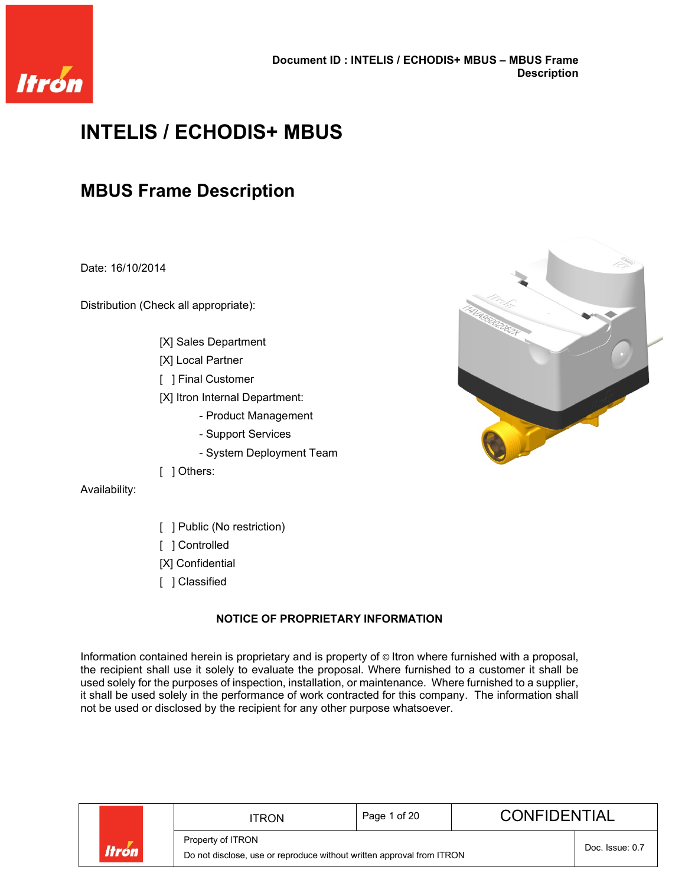

# **INTELIS / ECHODIS+ MBUS**

# **MBUS Frame Description**

Date: 16/10/2014

Distribution (Check all appropriate):

- [X] Sales Department
- [X] Local Partner
- [ ] Final Customer

[X] Itron Internal Department:

- Product Management
- Support Services
- System Deployment Team
- [ ] Others:

Availability:

- [ ] Public (No restriction)
- [ ] Controlled
- [X] Confidential
- [ ] Classified

### **NOTICE OF PROPRIETARY INFORMATION**

Information contained herein is proprietary and is property of © Itron where furnished with a proposal, the recipient shall use it solely to evaluate the proposal. Where furnished to a customer it shall be used solely for the purposes of inspection, installation, or maintenance. Where furnished to a supplier, it shall be used solely in the performance of work contracted for this company. The information shall not be used or disclosed by the recipient for any other purpose whatsoever.



|              |  | Page 1 of 20<br>ITRON                                                 |                 | <b>CONFIDENTIAL</b> |  |  |
|--------------|--|-----------------------------------------------------------------------|-----------------|---------------------|--|--|
| <b>Itrón</b> |  | Property of ITRON                                                     | Doc. Issue: 0.7 |                     |  |  |
|              |  | Do not disclose, use or reproduce without written approval from ITRON |                 |                     |  |  |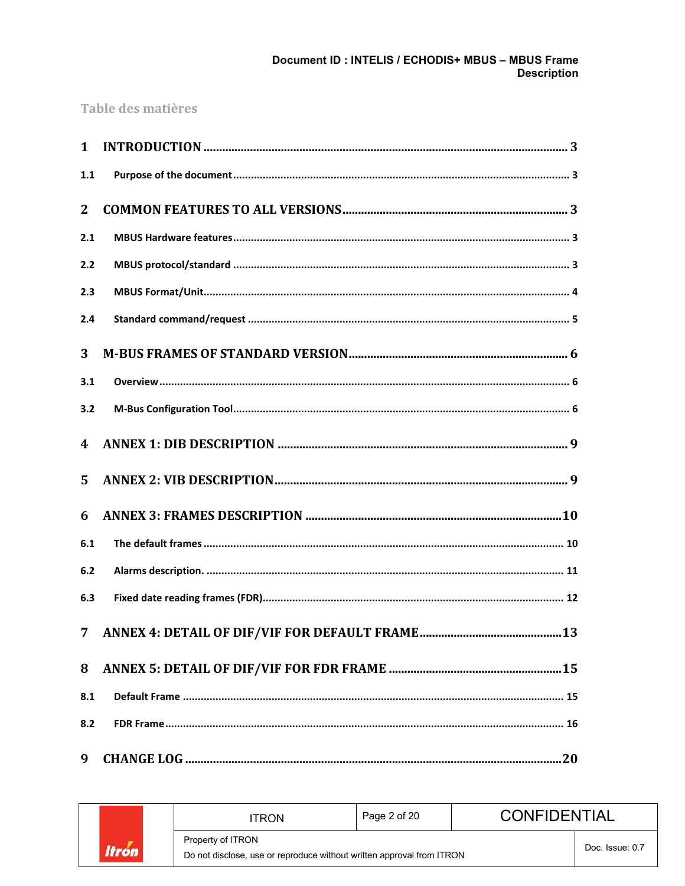### Document ID : INTELIS / ECHODIS+ MBUS - MBUS Frame **Description**

### Table des matières

| $\mathbf{1}$ |  |
|--------------|--|
| 1.1          |  |
| $\mathbf{2}$ |  |
| 2.1          |  |
| 2.2          |  |
| 2.3          |  |
| 2.4          |  |
| 3            |  |
| 3.1          |  |
| 3.2          |  |
| 4            |  |
| 5            |  |
| 6            |  |
| 6.1          |  |
| 6.2          |  |
| 6.3          |  |
| 7            |  |
| 8            |  |
| 8.1          |  |
| 8.2          |  |
| 9            |  |

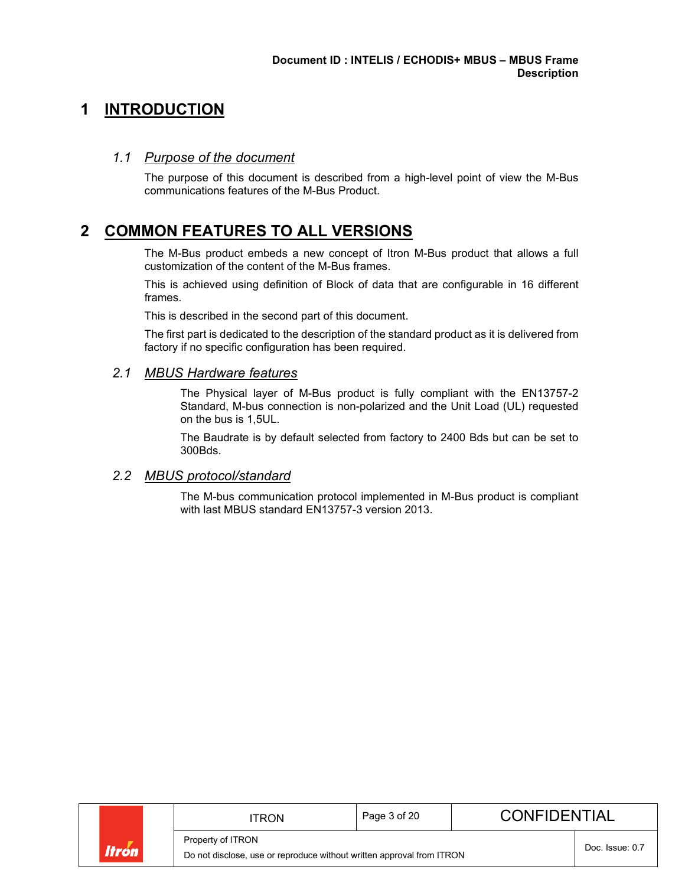## <span id="page-2-0"></span>**1 INTRODUCTION**

### <span id="page-2-1"></span>*1.1 Purpose of the document*

The purpose of this document is described from a high-level point of view the M-Bus communications features of the M-Bus Product.

### <span id="page-2-2"></span>**2 COMMON FEATURES TO ALL VERSIONS**

The M-Bus product embeds a new concept of Itron M-Bus product that allows a full customization of the content of the M-Bus frames.

This is achieved using definition of Block of data that are configurable in 16 different frames.

This is described in the second part of this document.

The first part is dedicated to the description of the standard product as it is delivered from factory if no specific configuration has been required.

### <span id="page-2-3"></span>*2.1 MBUS Hardware features*

The Physical layer of M-Bus product is fully compliant with the EN13757-2 Standard, M-bus connection is non-polarized and the Unit Load (UL) requested on the bus is 1,5UL.

The Baudrate is by default selected from factory to 2400 Bds but can be set to 300Bds.

### <span id="page-2-4"></span>*2.2 MBUS protocol/standard*

The M-bus communication protocol implemented in M-Bus product is compliant with last MBUS standard EN13757-3 version 2013.

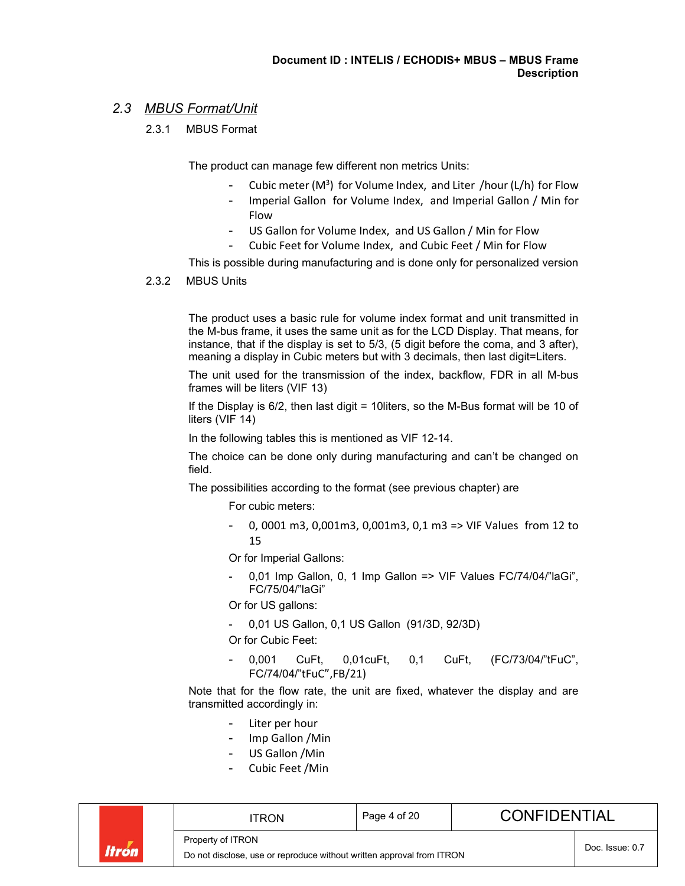### <span id="page-3-0"></span>*2.3 MBUS Format/Unit*

2.3.1 MBUS Format

The product can manage few different non metrics Units:

- Cubic meter (M<sup>3</sup>) for Volume Index, and Liter /hour (L/h) for Flow
- Imperial Gallon for Volume Index, and Imperial Gallon / Min for Flow
- US Gallon for Volume Index, and US Gallon / Min for Flow
- Cubic Feet for Volume Index, and Cubic Feet / Min for Flow

This is possible during manufacturing and is done only for personalized version

2.3.2 MBUS Units

The product uses a basic rule for volume index format and unit transmitted in the M-bus frame, it uses the same unit as for the LCD Display. That means, for instance, that if the display is set to 5/3, (5 digit before the coma, and 3 after), meaning a display in Cubic meters but with 3 decimals, then last digit=Liters.

The unit used for the transmission of the index, backflow, FDR in all M-bus frames will be liters (VIF 13)

If the Display is 6/2, then last digit = 10liters, so the M-Bus format will be 10 of liters (VIF 14)

In the following tables this is mentioned as VIF 12-14.

The choice can be done only during manufacturing and can't be changed on field.

The possibilities according to the format (see previous chapter) are

For cubic meters:

0, 0001 m3, 0,001m3, 0,001m3, 0,1 m3 => VIF Values from 12 to 15

Or for Imperial Gallons:

0,01 Imp Gallon, 0, 1 Imp Gallon => VIF Values FC/74/04/"laGi", FC/75/04/"laGi"

Or for US gallons:

- 0,01 US Gallon, 0,1 US Gallon (91/3D, 92/3D)

Or for Cubic Feet:

0,001 CuFt, 0,01cuFt, 0,1 CuFt, (FC/73/04/"tFuC", FC/74/04/"tFuC",FB/21)

Note that for the flow rate, the unit are fixed, whatever the display and are transmitted accordingly in:

- Liter per hour
- Imp Gallon /Min
- US Gallon /Min
- Cubic Feet /Min

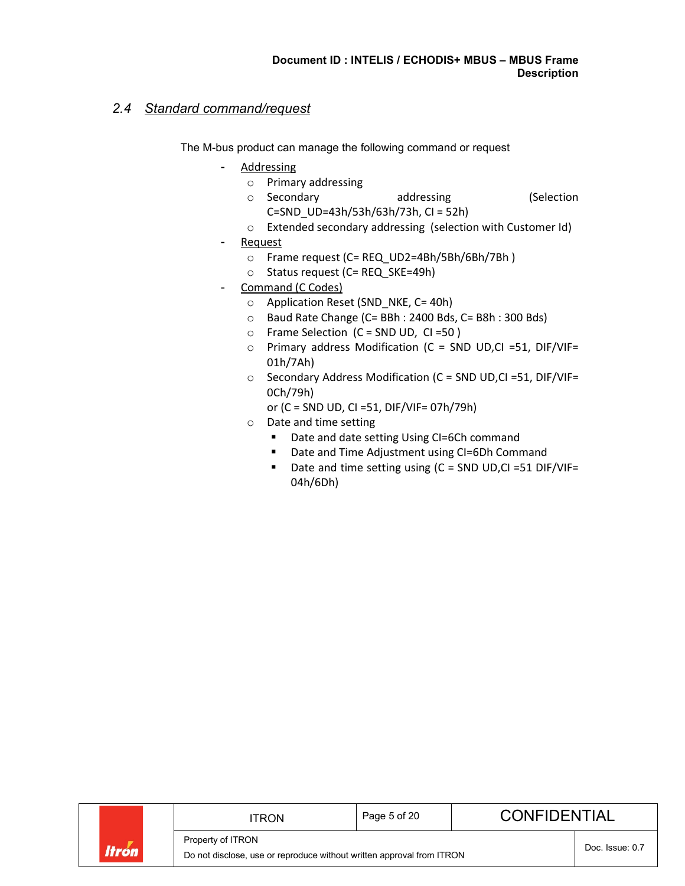### <span id="page-4-0"></span>*2.4 Standard command/request*

The M-bus product can manage the following command or request

- **Addressing** 
	- o Primary addressing
	- o Secondary addressing (Selection C=SND\_UD=43h/53h/63h/73h, CI = 52h)
	- o Extended secondary addressing (selection with Customer Id)
- **Request** 
	- o Frame request (C= REQ\_UD2=4Bh/5Bh/6Bh/7Bh )
	- o Status request (C= REQ\_SKE=49h)
- Command (C Codes)
	- o Application Reset (SND\_NKE, C= 40h)
	- o Baud Rate Change (C= BBh : 2400 Bds, C= B8h : 300 Bds)
	- o Frame Selection (C = SND UD, CI =50 )
	- o Primary address Modification (C = SND UD,CI =51, DIF/VIF= 01h/7Ah)
	- o Secondary Address Modification (C = SND UD,CI =51, DIF/VIF= 0Ch/79h)

or (C = SND UD, CI =51, DIF/VIF= 07h/79h)

- o Date and time setting
	- Date and date setting Using CI=6Ch command
	- Date and Time Adjustment using CI=6Dh Command
	- Date and time setting using (C = SND UD,CI =51 DIF/VIF= 04h/6Dh)

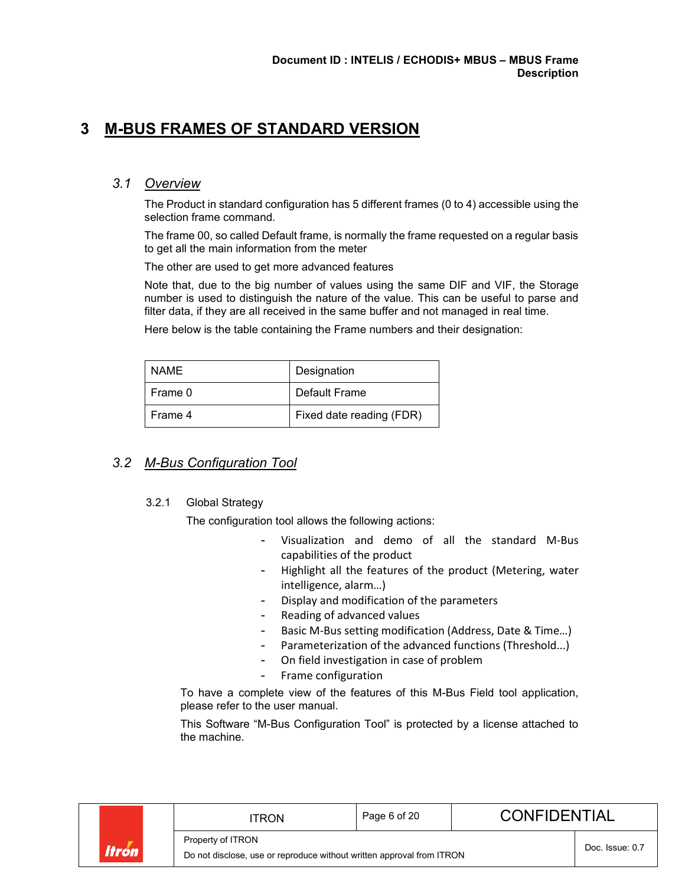### <span id="page-5-0"></span>**3 M-BUS FRAMES OF STANDARD VERSION**

### <span id="page-5-1"></span>*3.1 Overview*

The Product in standard configuration has 5 different frames (0 to 4) accessible using the selection frame command.

The frame 00, so called Default frame, is normally the frame requested on a regular basis to get all the main information from the meter

The other are used to get more advanced features

Note that, due to the big number of values using the same DIF and VIF, the Storage number is used to distinguish the nature of the value. This can be useful to parse and filter data, if they are all received in the same buffer and not managed in real time.

Here below is the table containing the Frame numbers and their designation:

| NAME    | Designation              |
|---------|--------------------------|
| Frame 0 | Default Frame            |
| Frame 4 | Fixed date reading (FDR) |

### <span id="page-5-2"></span>*3.2 M-Bus Configuration Tool*

#### 3.2.1 Global Strategy

The configuration tool allows the following actions:

- Visualization and demo of all the standard M-Bus capabilities of the product
- Highlight all the features of the product (Metering, water intelligence, alarm…)
- Display and modification of the parameters
- Reading of advanced values
- Basic M-Bus setting modification (Address, Date & Time...)
- Parameterization of the advanced functions (Threshold...)
- On field investigation in case of problem
- Frame configuration

To have a complete view of the features of this M-Bus Field tool application, please refer to the user manual.

This Software "M-Bus Configuration Tool" is protected by a license attached to the machine.

|       | TRON                                                                                       | Page 6 of 20    | <b>CONFIDENTIAL</b> |  |  |
|-------|--------------------------------------------------------------------------------------------|-----------------|---------------------|--|--|
| Itrón | Property of ITRON<br>Do not disclose, use or reproduce without written approval from ITRON | Doc. Issue: 0.7 |                     |  |  |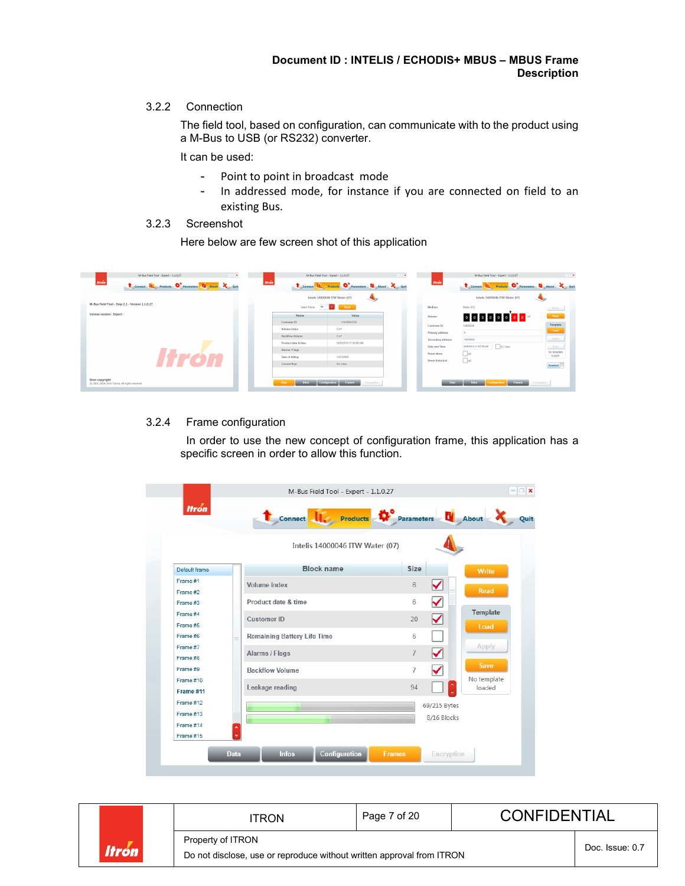#### 3.2.2 Connection

The field tool, based on configuration, can communicate with to the product using a M-Bus to USB (or RS232) converter.

It can be used:

- Point to point in broadcast mode
- In addressed mode, for instance if you are connected on field to an existing Bus.

### 3.2.3 Screenshot

Here below are few screen shot of this application



### 3.2.4 Frame configuration

In order to use the new concept of configuration frame, this application has a specific screen in order to allow this function.

|                        | Connect Life Products Connecters El About |                                        |                       |
|------------------------|-------------------------------------------|----------------------------------------|-----------------------|
|                        | Intelis 14000046 ITW Water (07)           |                                        |                       |
| Default frame          | Block name                                | Size                                   | Write                 |
| Frame #1<br>Frame #2   | Volume index                              | ✓<br>$6\phantom{.}$                    | <b>Read</b>           |
| Frame #3               | Product date & time                       | ✓<br>6                                 |                       |
| Frame #4<br>Frame #5   | Customer ID                               | ✓<br>20                                | Template              |
| Frame #6               | <b>Remaining Battery Life Time</b>        | 5                                      | Load                  |
| Frame #7<br>Frame #8   | Alarms / Flags                            | ✓<br>$\overline{7}$                    | Apply                 |
| Frame #9               | <b>Backflow Volume</b>                    | $\blacktriangledown$<br>$\overline{7}$ | <b>Save</b>           |
| Frame #10<br>Frame #11 | Leakage reading                           | 94                                     | No template<br>loaded |
| Frame #12              |                                           | 69/215 Bytes                           |                       |
| Frame #13<br>Frame #14 | ۸                                         | 8/16 Blocks                            |                       |
| Frame #15              |                                           |                                        |                       |

| ltrón | <b>TRON</b>                                                                                | Page 7 of 20    | <b>CONFIDENTIAL</b> |  |  |
|-------|--------------------------------------------------------------------------------------------|-----------------|---------------------|--|--|
|       | Property of ITRON<br>Do not disclose, use or reproduce without written approval from ITRON | Doc. Issue: 0.7 |                     |  |  |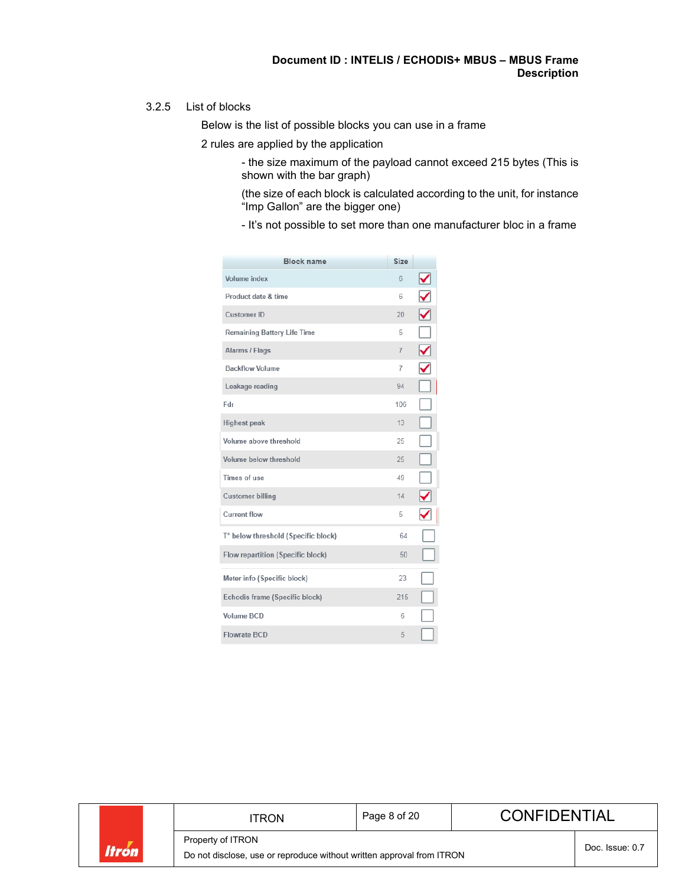#### 3.2.5 List of blocks

Below is the list of possible blocks you can use in a frame

2 rules are applied by the application

- the size maximum of the payload cannot exceed 215 bytes (This is shown with the bar graph)
- (the size of each block is calculated according to the unit, for instance "Imp Gallon" are the bigger one)
- It's not possible to set more than one manufacturer bloc in a frame

| <b>Block name</b>                   | Size           |                                                              |
|-------------------------------------|----------------|--------------------------------------------------------------|
| Volume index                        | 6              | ⊻                                                            |
| Product date & time                 | 6              | $\checkmark$                                                 |
| <b>Customer ID</b>                  | 20             | $\sum_{i=1}^{n}$                                             |
| <b>Remaining Battery Life Time</b>  | 5              | $\Box$                                                       |
| Alarms / Flags                      | $\overline{7}$ | $\bar{\bar{\bm{\mathsf{Q}}}}$                                |
| <b>Backflow Volume</b>              | $\overline{7}$ | $\blacktriangledown$                                         |
| Leakage reading                     | 94             | $\Box$                                                       |
| Fdr                                 | 106            | ĝ                                                            |
| <b>Highest peak</b>                 | 13             | $\Box$                                                       |
| Volume above threshold              | 25             |                                                              |
| Volume below threshold              | 25             |                                                              |
| Times of use                        | 49             | $\begin{array}{c} \square \\ \square \\ \square \end{array}$ |
| <b>Customer billing</b>             | 14             |                                                              |
| <b>Current flow</b>                 | 5              | ✓                                                            |
| T° below threshold (Specific block) | 64             |                                                              |
| Flow repartition (Specific block)   | $50^{\circ}$   |                                                              |
| Meter info (Specific block)         | 23             |                                                              |
| Echodis frame (Specific block)      | 215            | Ę                                                            |
| Volume BCD                          | 6              | Ξ                                                            |
| <b>Flowrate BCD</b>                 | 5              |                                                              |

|       | <b>ITRON</b>                                                          | Page 8 of 20    | <b>CONFIDENTIAL</b> |  |
|-------|-----------------------------------------------------------------------|-----------------|---------------------|--|
|       | Property of ITRON                                                     | Doc. Issue: 0.7 |                     |  |
| ltrón | Do not disclose, use or reproduce without written approval from ITRON |                 |                     |  |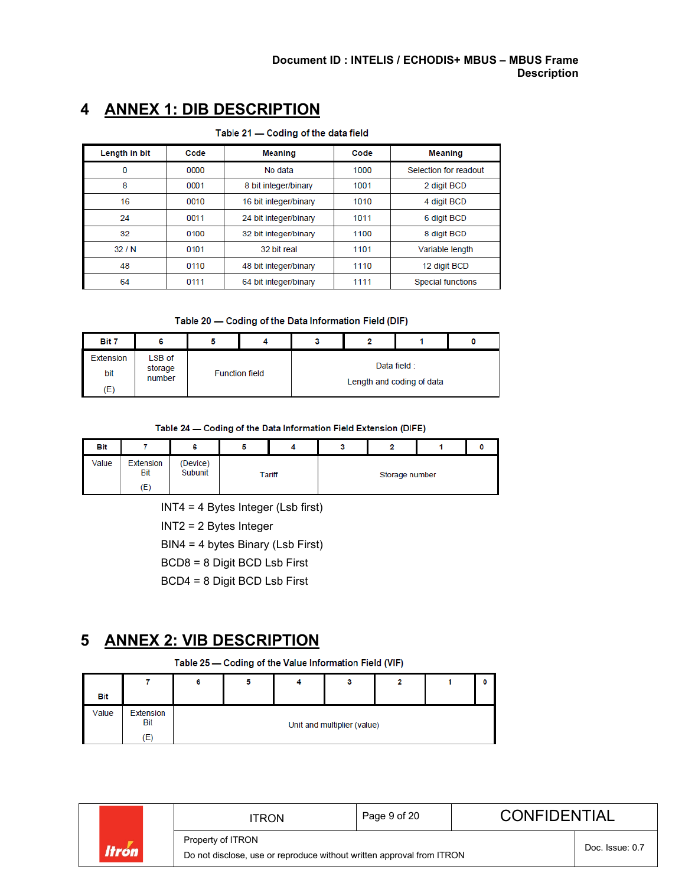| Table 21 - Coding of the data field |      |                       |      |                          |  |  |  |
|-------------------------------------|------|-----------------------|------|--------------------------|--|--|--|
| Length in bit                       | Code | <b>Meaning</b>        | Code | <b>Meaning</b>           |  |  |  |
| 0                                   | 0000 | No data               | 1000 | Selection for readout    |  |  |  |
| 8                                   | 0001 | 8 bit integer/binary  | 1001 | 2 digit BCD              |  |  |  |
| 16                                  | 0010 | 16 bit integer/binary | 1010 | 4 digit BCD              |  |  |  |
| 24                                  | 0011 | 24 bit integer/binary | 1011 | 6 digit BCD              |  |  |  |
| 32                                  | 0100 | 32 bit integer/binary | 1100 | 8 digit BCD              |  |  |  |
| 32/N                                | 0101 | 32 bit real           | 1101 | Variable length          |  |  |  |
| 48                                  | 0110 | 48 bit integer/binary | 1110 | 12 digit BCD             |  |  |  |
| 64                                  | 0111 | 64 bit integer/binary | 1111 | <b>Special functions</b> |  |  |  |

## <span id="page-8-0"></span>**4 ANNEX 1: DIB DESCRIPTION**

Table 20 - Coding of the Data Information Field (DIF)

| Bit 7                   | 6                           |                       |  |                                           |  |
|-------------------------|-----------------------------|-----------------------|--|-------------------------------------------|--|
| Extension<br>bit<br>(E) | LSB of<br>storage<br>number | <b>Function field</b> |  | Data field :<br>Length and coding of data |  |

#### Table 24 - Coding of the Data Information Field Extension (DIFE)

| Bit   |                         | c                   |        |                |  |
|-------|-------------------------|---------------------|--------|----------------|--|
| Value | Extension<br>Bit<br>(E) | (Device)<br>Subunit | Tariff | Storage number |  |

INT4 = 4 Bytes Integer (Lsb first)

INT2 = 2 Bytes Integer

BIN4 = 4 bytes Binary (Lsb First)

BCD8 = 8 Digit BCD Lsb First

BCD4 = 8 Digit BCD Lsb First

## <span id="page-8-1"></span>**5 ANNEX 2: VIB DESCRIPTION**

Table 25 - Coding of the Value Information Field (VIF)

| Bit   |                  |  |                             |  |  |
|-------|------------------|--|-----------------------------|--|--|
| Value | Extension<br>Bit |  | Unit and multiplier (value) |  |  |
|       | (E)              |  |                             |  |  |

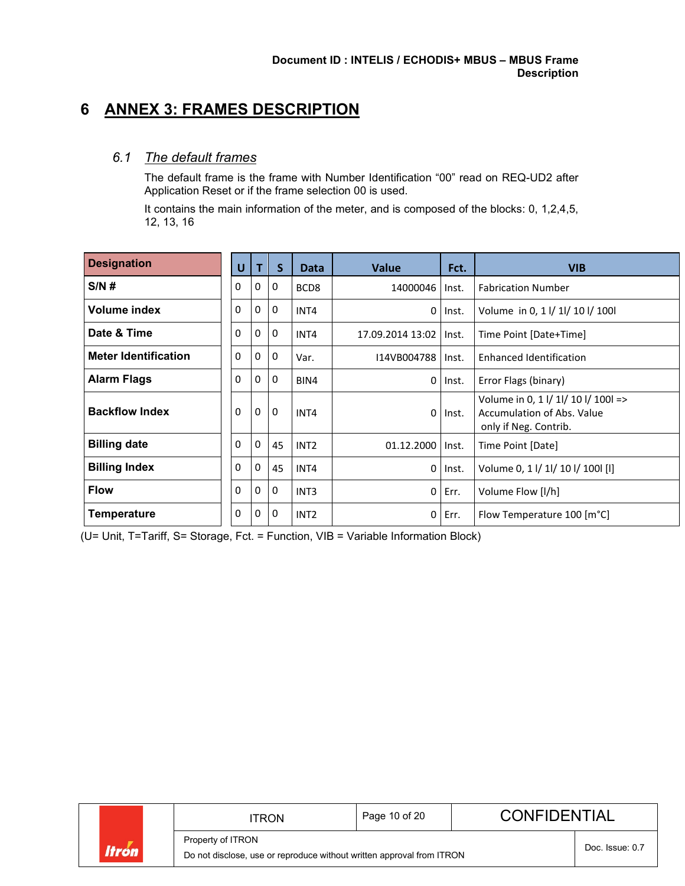## <span id="page-9-0"></span>**6 ANNEX 3: FRAMES DESCRIPTION**

### <span id="page-9-1"></span>*6.1 The default frames*

The default frame is the frame with Number Identification "00" read on REQ-UD2 after Application Reset or if the frame selection 00 is used.

It contains the main information of the meter, and is composed of the blocks: 0, 1,2,4,5, 12, 13, 16

| <b>Designation</b>          | U        | т            | <sub>S</sub> | <b>Data</b>      | <b>Value</b>     | Fct.  | <b>VIB</b>                                                                                 |
|-----------------------------|----------|--------------|--------------|------------------|------------------|-------|--------------------------------------------------------------------------------------------|
| S/N#                        | 0        | 0            | 0            | BCD <sub>8</sub> | 14000046         | Inst. | <b>Fabrication Number</b>                                                                  |
| Volume index                | 0        | $\mathbf{0}$ | 0            | INT4             | 0                | Inst. | Volume in 0, 1 l/ 1l/ 10 l/ 100l                                                           |
| Date & Time                 | $\Omega$ | 0            | $\mathbf 0$  | INT4             | 17.09.2014 13:02 | Inst. | Time Point [Date+Time]                                                                     |
| <b>Meter Identification</b> | 0        | 0            | 0            | Var.             | 114VB004788      | Inst. | Enhanced Identification                                                                    |
| <b>Alarm Flags</b>          | 0        | 0            | $\mathbf{0}$ | BIN4             | 0                | Inst. | Error Flags (binary)                                                                       |
| <b>Backflow Index</b>       | 0        | $\mathbf 0$  | $\mathbf 0$  | INT4             | 0                | Inst. | Volume in 0, 1 l/ 1l/ 10 l/ 100l =><br>Accumulation of Abs. Value<br>only if Neg. Contrib. |
| <b>Billing date</b>         | 0        | $\mathbf 0$  | 45           | INT <sub>2</sub> | 01.12.2000       | Inst. | Time Point [Date]                                                                          |
| <b>Billing Index</b>        | 0        | 0            | 45           | INT4             | 0                | Inst. | Volume 0, 1 l/ 1l/ 10 l/ 100l [l]                                                          |
| <b>Flow</b>                 | 0        | 0            | $\mathbf 0$  | INT <sub>3</sub> | $\Omega$         | Err.  | Volume Flow [I/h]                                                                          |
| <b>Temperature</b>          | 0        | $\mathbf{0}$ | 0            | INT <sub>2</sub> | 0                | Err.  | Flow Temperature 100 [m°C]                                                                 |

(U= Unit, T=Tariff, S= Storage, Fct. = Function, VIB = Variable Information Block)

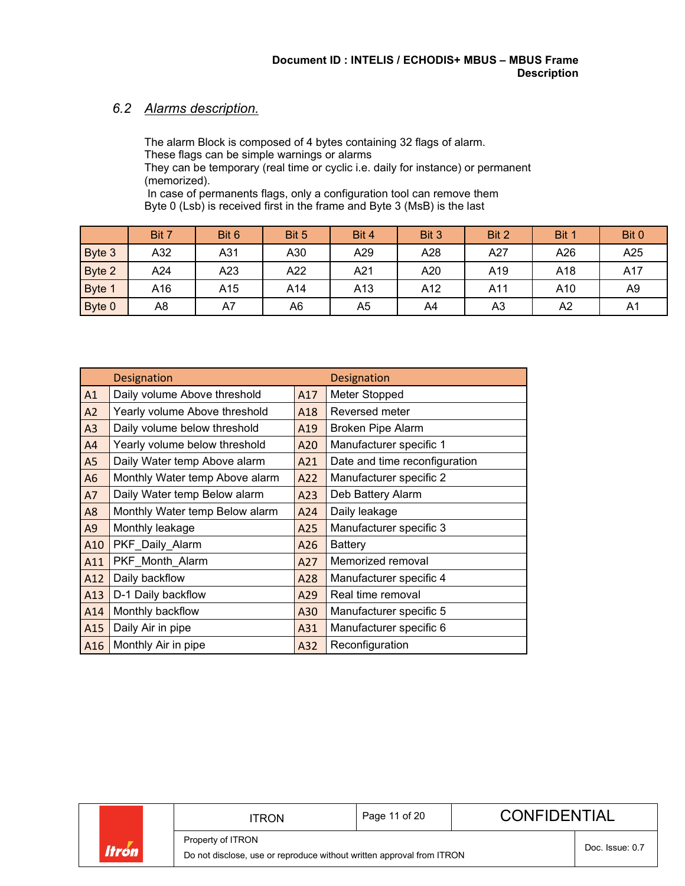### <span id="page-10-0"></span>*6.2 Alarms description.*

The alarm Block is composed of 4 bytes containing 32 flags of alarm. These flags can be simple warnings or alarms They can be temporary (real time or cyclic i.e. daily for instance) or permanent (memorized).

In case of permanents flags, only a configuration tool can remove them Byte 0 (Lsb) is received first in the frame and Byte 3 (MsB) is the last

|        | Bit 7 | Bit 6 | Bit 5 | Bit 4 | Bit 3 | Bit 2 | Bit 1 | Bit 0 |
|--------|-------|-------|-------|-------|-------|-------|-------|-------|
| Byte 3 | A32   | A31   | A30   | A29   | A28   | A27   | A26   | A25   |
| Byte 2 | A24   | A23   | A22   | A21   | A20   | A19   | A18   | A17   |
| Byte 1 | A16   | A15   | A14   | A13   | A12   | A11   | A10   | A9    |
| Byte 0 | A8    | A7    | A6    | A5    | A4    | A3    | A2    | A1    |

|                | <b>Designation</b>             |     | <b>Designation</b>            |
|----------------|--------------------------------|-----|-------------------------------|
| A1             | Daily volume Above threshold   | A17 | Meter Stopped                 |
| A2             | Yearly volume Above threshold  | A18 | Reversed meter                |
| A <sub>3</sub> | Daily volume below threshold   | A19 | <b>Broken Pipe Alarm</b>      |
| A4             | Yearly volume below threshold  | A20 | Manufacturer specific 1       |
| A5             | Daily Water temp Above alarm   | A21 | Date and time reconfiguration |
| A6             | Monthly Water temp Above alarm | A22 | Manufacturer specific 2       |
| A7             | Daily Water temp Below alarm   | A23 | Deb Battery Alarm             |
| A8             | Monthly Water temp Below alarm | A24 | Daily leakage                 |
| A <sub>9</sub> | Monthly leakage                | A25 | Manufacturer specific 3       |
| A10            | PKF_Daily_Alarm                | A26 | <b>Battery</b>                |
| A11            | PKF_Month_Alarm                | A27 | Memorized removal             |
| A12            | Daily backflow                 | A28 | Manufacturer specific 4       |
| A13            | D-1 Daily backflow             | A29 | Real time removal             |
| A14            | Monthly backflow               | A30 | Manufacturer specific 5       |
| A15            | Daily Air in pipe              | A31 | Manufacturer specific 6       |
| A16            | Monthly Air in pipe            | A32 | Reconfiguration               |

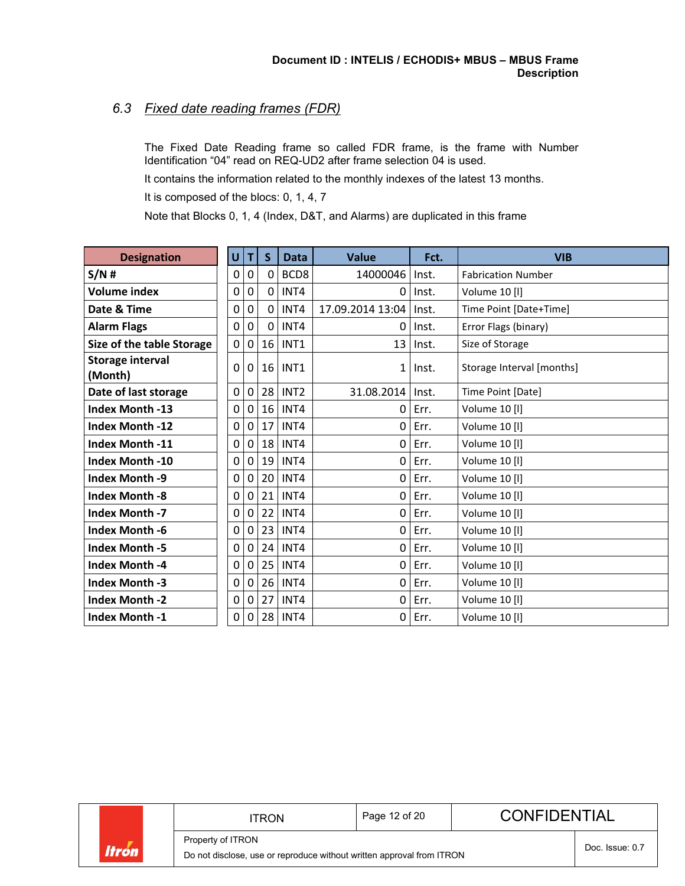### <span id="page-11-0"></span>*6.3 Fixed date reading frames (FDR)*

The Fixed Date Reading frame so called FDR frame, is the frame with Number Identification "04" read on REQ-UD2 after frame selection 04 is used.

It contains the information related to the monthly indexes of the latest 13 months.

It is composed of the blocs: 0, 1, 4, 7

Note that Blocks 0, 1, 4 (Index, D&T, and Alarms) are duplicated in this frame

| <b>Designation</b>                 | U |          | S.           | <b>Data</b>      | <b>Value</b>     | Fct.  | <b>VIB</b>                |
|------------------------------------|---|----------|--------------|------------------|------------------|-------|---------------------------|
| S/N#                               | 0 | 0        | 0            | BCD8             | 14000046         | Inst. | <b>Fabrication Number</b> |
| <b>Volume index</b>                | 0 | 0        | 0            | INT4             | 0                | Inst. | Volume 10 [I]             |
| Date & Time                        | 0 | 0        | $\mathbf{0}$ | INT4             | 17.09.2014 13:04 | Inst. | Time Point [Date+Time]    |
| <b>Alarm Flags</b>                 | 0 | 0        | 0            | INT4             | 0                | Inst. | Error Flags (binary)      |
| Size of the table Storage          | 0 | 0        | 16           | INT <sub>1</sub> | 13               | Inst. | Size of Storage           |
| <b>Storage interval</b><br>(Month) | 0 | 0        | 16           | INT1             | $\mathbf{1}$     | Inst. | Storage Interval [months] |
| Date of last storage               | 0 | 0        | 28           | INT <sub>2</sub> | 31.08.2014       | Inst. | Time Point [Date]         |
| <b>Index Month -13</b>             | 0 | $\Omega$ | 16           | INT4             | 0                | Err.  | Volume 10 [I]             |
| <b>Index Month -12</b>             | 0 | 0        | 17           | INT4             | 0                | Err.  | Volume 10 [I]             |
| <b>Index Month -11</b>             | 0 | $\Omega$ | 18           | INT4             | 0                | Err.  | Volume 10 [I]             |
| <b>Index Month -10</b>             | 0 | $\Omega$ | 19           | INT4             | 0                | Err.  | Volume 10 [I]             |
| <b>Index Month -9</b>              | 0 | 0        | 20           | INT4             | 0                | Err.  | Volume 10 [I]             |
| <b>Index Month -8</b>              | 0 | 0        | 21           | INT4             | 0                | Err.  | Volume 10 [I]             |
| <b>Index Month -7</b>              | 0 | 0        | 22           | INT4             | 0                | Err.  | Volume 10 [I]             |
| <b>Index Month -6</b>              | 0 | 0        | 23           | INT4             | $\mathbf 0$      | Err.  | Volume 10 [I]             |
| <b>Index Month -5</b>              | 0 | $\Omega$ | 24           | INT4             | 0                | Err.  | Volume 10 [I]             |
| <b>Index Month -4</b>              | 0 | 0        | 25           | INT4             | 0                | Err.  | Volume 10 [I]             |
| <b>Index Month -3</b>              | 0 | 0        | 26           | INT4             | 0                | Err.  | Volume 10 [I]             |
| <b>Index Month -2</b>              | 0 | 0        | 27           | INT4             | 0                | Err.  | Volume 10 [I]             |
| <b>Index Month -1</b>              | 0 | 0        | 28           | INT4             | 0                | Err.  | Volume 10 [I]             |

Property of ITRON

Do not disclose, use or reproduce without written approval from ITRON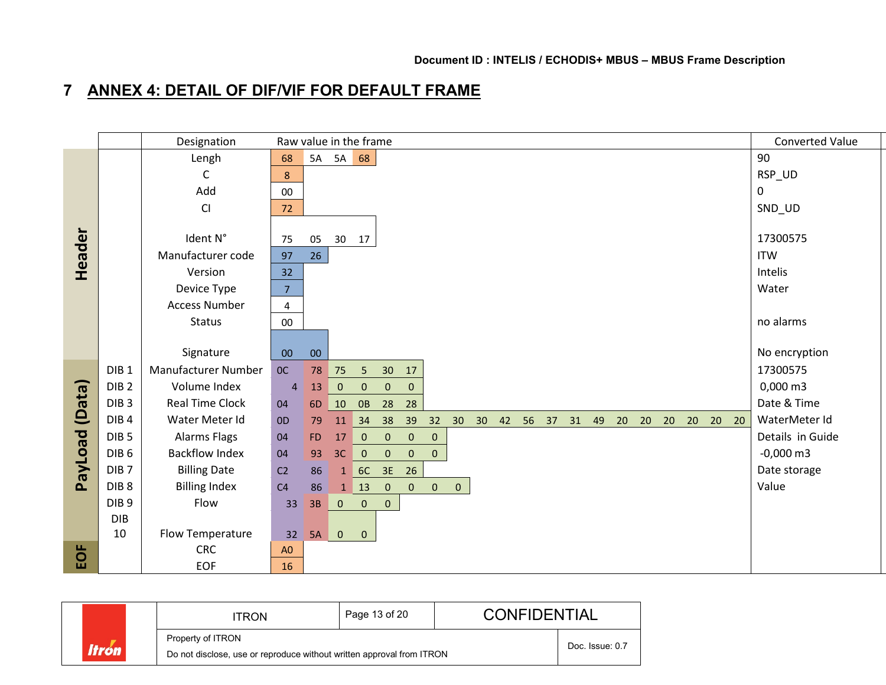# **7 ANNEX 4: DETAIL OF DIF/VIF FOR DEFAULT FRAME**

<span id="page-12-0"></span>

|                |                  | Designation            |                | Raw value in the frame                                                           |                                              | Converted Value        |
|----------------|------------------|------------------------|----------------|----------------------------------------------------------------------------------|----------------------------------------------|------------------------|
|                |                  | Lengh                  | 68             | 5A 5A 68                                                                         |                                              | 90                     |
|                |                  | C                      | 8 <sup>°</sup> |                                                                                  |                                              | RSP_UD                 |
|                |                  | Add                    | $00\,$         |                                                                                  |                                              | 0                      |
|                |                  | CI                     | 72             |                                                                                  |                                              | SND_UD                 |
|                |                  |                        |                |                                                                                  |                                              |                        |
| Header         |                  | Ident N°               | 75             | 30 17<br>05                                                                      |                                              | 17300575               |
|                |                  | Manufacturer code      | 97             | 26                                                                               |                                              | <b>ITW</b>             |
|                |                  | Version                | 32             |                                                                                  |                                              | Intelis                |
|                |                  | Device Type            | 7 <sup>7</sup> |                                                                                  |                                              | Water                  |
|                |                  | <b>Access Number</b>   | $\overline{4}$ |                                                                                  |                                              |                        |
|                |                  | Status                 | $00\,$         |                                                                                  |                                              | no alarms              |
|                |                  |                        |                |                                                                                  |                                              |                        |
|                |                  | Signature              | $00\,$         | $00\,$                                                                           |                                              | No encryption          |
|                | DIB <sub>1</sub> | Manufacturer Number    | OC             | 78<br>75<br>30<br>5 <sub>o</sub><br>17                                           |                                              | 17300575               |
|                | DIB <sub>2</sub> | Volume Index           | $\overline{4}$ | $\overline{0}$<br>$\overline{0}$<br>13<br>$\overline{0}$<br>$\mathbf{0}$         |                                              | $0,000 \, \text{m}$ 3  |
|                | DIB <sub>3</sub> | <b>Real Time Clock</b> | 04             | 28<br>10 OB<br>28<br>6D                                                          |                                              | Date & Time            |
|                | DIB <sub>4</sub> | Water Meter Id         | 0 <sub>D</sub> | 11 34 38<br>79                                                                   | 39 32 30 30 42 56 37 31 49 20 20 20 20 20 20 | WaterMeter Id          |
|                | DIB <sub>5</sub> | Alarms Flags           | 04             | 0 0 0<br>FD.<br>17<br>$\overline{0}$                                             |                                              | Details in Guide       |
|                | DIB <sub>6</sub> | <b>Backflow Index</b>  | 04             | $3C$ 0<br>$\overline{0}$<br>93<br>$\overline{0}$<br>$\overline{0}$               |                                              | $-0,000 \, \text{m}$ 3 |
| PayLoad (Data) | DIB <sub>7</sub> | <b>Billing Date</b>    | C <sub>2</sub> | 1 6C 3E 26<br>86                                                                 |                                              | Date storage           |
|                | DIB <sub>8</sub> | <b>Billing Index</b>   | C <sub>4</sub> | $1 \quad 13 \quad 0$<br>$\overline{0}$<br>$\overline{0}$<br>$\overline{0}$<br>86 |                                              | Value                  |
|                | DIB <sub>9</sub> | Flow                   | 33             | $\overline{0}$<br>$\overline{0}$<br>3B<br>$\mathbf{0}$                           |                                              |                        |
|                | <b>DIB</b>       |                        |                |                                                                                  |                                              |                        |
|                | 10               | Flow Temperature       | 32             | 5A 0<br>$\overline{0}$                                                           |                                              |                        |
| EOF            |                  | <b>CRC</b>             | A <sub>0</sub> |                                                                                  |                                              |                        |
|                |                  | <b>EOF</b>             | 16             |                                                                                  |                                              |                        |

|       | TRON                                                                                       | Page 13 of 20   | <b>CONFIDENTIAL</b> |  |
|-------|--------------------------------------------------------------------------------------------|-----------------|---------------------|--|
| ltrón | Property of ITRON<br>Do not disclose, use or reproduce without written approval from ITRON | Doc. Issue: 0.7 |                     |  |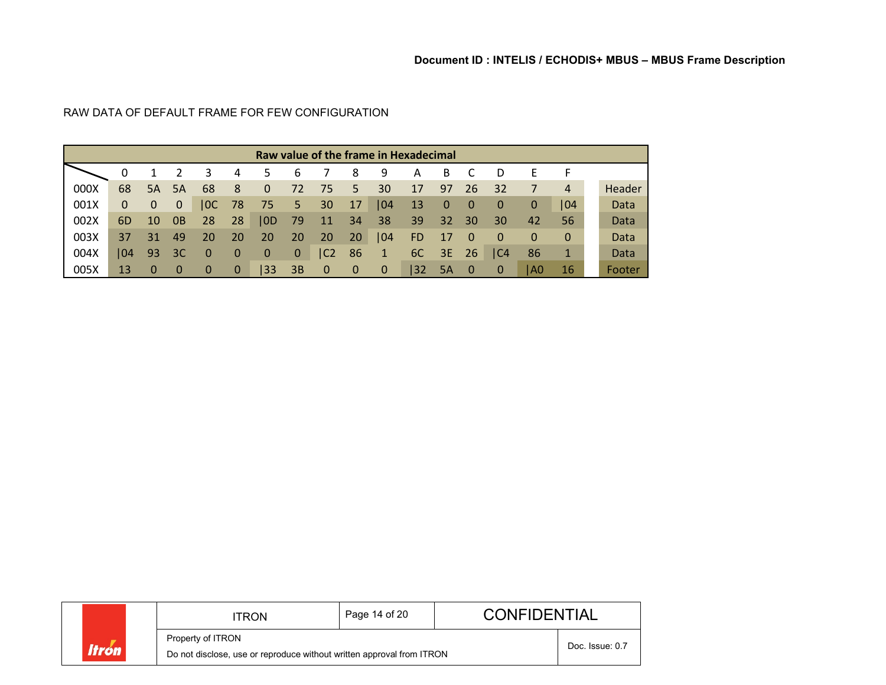|      | Raw value of the frame in Hexadecimal |    |              |    |             |          |              |             |    |             |           |             |             |     |             |              |        |
|------|---------------------------------------|----|--------------|----|-------------|----------|--------------|-------------|----|-------------|-----------|-------------|-------------|-----|-------------|--------------|--------|
|      | 0                                     |    |              | 3  | 4           | 5        | b            |             | 8  | 9           | А         | B           |             | D   | E           |              |        |
| 000X | 68                                    | 5A | <b>5A</b>    | 68 | 8           | 0        | 72           | 75          | 5  | 30          | 17        | 97          | 26          | 32  | 7           | 4            | Header |
| 001X | $\mathbf 0$                           | 0  | $\mathbf{0}$ | OC | 78          | 75       | 5            | 30          | 17 | 04          | 13        | $\mathbf 0$ | $\bf{0}$    | 0   | $\mathbf 0$ | 104          | Data   |
| 002X | 6D                                    | 10 | 0B           | 28 | 28          | 0D       | 79           | 11          | 34 | 38          | 39        | 32          | 30          | 30  | 42          | 56           | Data   |
| 003X | 37                                    | 31 | 49           | 20 | 20          | 20       | 20           | 20          | 20 | 04          | <b>FD</b> | 17          | 0           | 0   | $\Omega$    | $\mathbf{0}$ | Data   |
| 004X | $ 04\rangle$                          | 93 | 3C           | 0  | 0           | $\bf{0}$ | $\mathbf{0}$ | IC2         | 86 | $\sqrt{1}$  | 6C        | 3E          | 26          | IC4 | 86          | 1            | Data   |
| 005X | 13                                    | 0  | $\bf{0}$     | 0  | $\mathbf 0$ | 33       | 3B           | $\mathbf 0$ | 0  | $\mathbf 0$ | 32        | 5A          | $\mathbf 0$ | 0   | l A0        | 16           | Footer |

### RAW DATA OF DEFAULT FRAME FOR FEW CONFIGURATION

|              | ITRON                                                                                      | Page 14 of 20   | <b>CONFIDENTIAL</b> |  |
|--------------|--------------------------------------------------------------------------------------------|-----------------|---------------------|--|
| <b>Itron</b> | Property of ITRON<br>Do not disclose, use or reproduce without written approval from ITRON | Doc. Issue: 0.7 |                     |  |
|              |                                                                                            |                 |                     |  |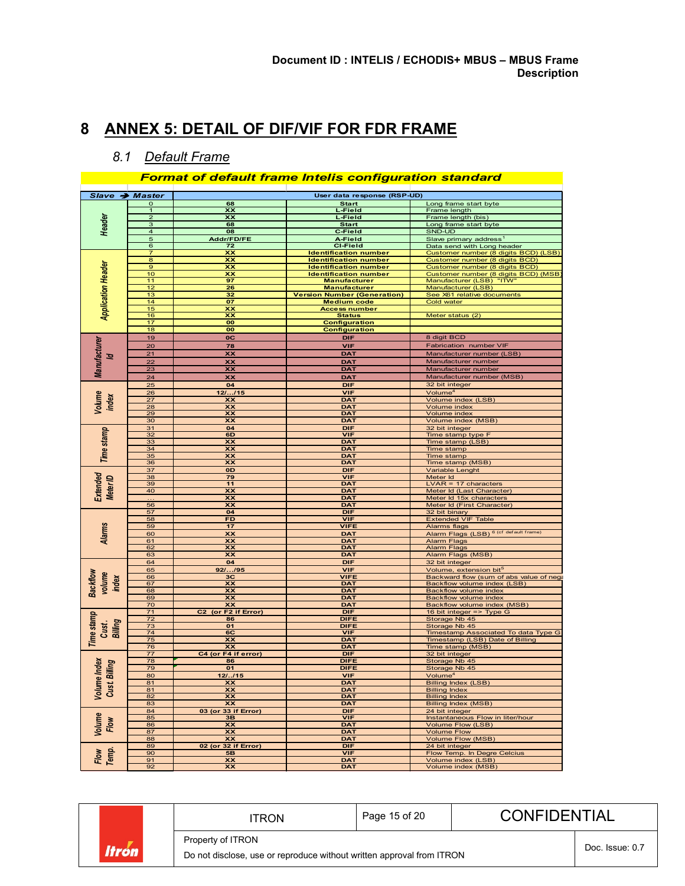## <span id="page-14-1"></span><span id="page-14-0"></span>**ANNEX 5: DETAIL OF DIF/VIF FOR FDR FRAME**

### *8.1 Default Frame*

### *Format of default frame Intelis configuration standard*

| Slave → Master                |                     |                                             | User data response (RSP-UD)         |                                                                    |
|-------------------------------|---------------------|---------------------------------------------|-------------------------------------|--------------------------------------------------------------------|
|                               | $\mathbf 0$         | 68                                          | <b>Start</b>                        | Long frame start byte                                              |
|                               | 1<br>$\overline{a}$ | xx<br>xх                                    | <u>L-Field</u><br>L-Field           | Frame length                                                       |
| Header                        | 3                   | 68                                          | <b>Start</b>                        | Frame length (bis)<br>Long frame start byte                        |
|                               | 4                   | 08                                          | C-Field                             | SND-UD                                                             |
|                               | 5                   | Addr/FD/FE                                  | A-Field                             | Slave primary address                                              |
|                               | 6                   | 72                                          | <b>CI-Field</b>                     |                                                                    |
|                               | 7                   | <b>xx</b>                                   | <b>Identification number</b>        | Data send with Long header<br>Customer number (8 digits BCD) (LSB) |
|                               | 8                   | <u>xx</u>                                   | <b>Identification number</b>        | Customer number (8 digits BCD)                                     |
| <b>Application Header</b>     | $\mathbf{9}$        | xx                                          | <b>Identification number</b>        | Customer number (8 digits BCD)                                     |
|                               | 10                  | xx                                          | <b>Identification number</b>        |                                                                    |
|                               | 11                  | 97                                          | <b>Manufacturer</b>                 | Customer number (8 digits BCD) (MSB<br>Manufacturer (LSB) "ITW"    |
|                               | $\overline{12}$     | 26                                          | <b>Manufacturer</b>                 | Manufacturer (LSB)                                                 |
|                               | 13                  | 32                                          | <u> Version Number (Generation)</u> | See X61 relative documents                                         |
|                               | 14                  | 07                                          | <b>Medium code</b>                  | Cold water                                                         |
|                               | 15                  | xx                                          | <b>Access number</b>                |                                                                    |
|                               | 16                  | xx                                          | <b>Status</b>                       | Meter status (2)                                                   |
|                               | 17                  | 00                                          | <b>Configuration</b>                |                                                                    |
|                               | 18                  | 00                                          | <b>Configuration</b>                |                                                                    |
|                               | 19                  | $_{\rm oc}$                                 | DIF                                 | 8 digit BCD                                                        |
| <b>Manufacturer</b>           | 20                  | 78                                          | VIF                                 | Fabrication number VIF                                             |
| হ                             | 21                  | <b>xx</b>                                   | DAT                                 | Manufacturer number (LSB)                                          |
|                               | 22                  | xx                                          | <b>DAT</b>                          | Manufacturer number                                                |
|                               | 23                  | <b>XX</b>                                   | <b>DAT</b>                          | Manufacturer number                                                |
|                               | 24                  | xx                                          | DAT                                 | Manufacturer number (MSB)                                          |
|                               | 25                  | 04                                          | DIF                                 | 32 bit integer                                                     |
|                               | 26                  | 121115                                      | <b>VIF</b>                          | Volume <sup>4</sup>                                                |
| Volume<br>index               | 27                  | xx                                          | <b>DAT</b>                          | Volume index (LSB)                                                 |
|                               | 28                  | <b>XX</b>                                   | <u>DAT</u>                          |                                                                    |
|                               | 29                  | XX                                          | <u>DAT</u>                          | Volume index<br>Volume index                                       |
|                               | 30                  | xx                                          | <b>DAT</b>                          | Volume index (MSB)                                                 |
|                               | 31                  | 04                                          | DIF                                 | 32 bit integer                                                     |
| Time stamp                    | 32                  | 6D                                          | VIF                                 | Time stamp type F                                                  |
|                               | 33                  | xх                                          | <u>DAT</u>                          | <u>Time stamp (LSB)</u>                                            |
|                               | 34                  | XX                                          | DAT                                 | Time stamp                                                         |
|                               | 35                  | xx                                          | <b>DAT</b>                          | Time stamp                                                         |
|                               | 36                  | XX                                          | <u>DAT</u>                          | Time stamp (MSB)                                                   |
|                               | 37                  | 0D                                          | DIF                                 | Variable Lenght                                                    |
|                               | 38                  | 79                                          | VIF                                 |                                                                    |
| Extended<br>Meter ID          | 39                  | 11                                          | DAT                                 | Meter Id<br>LVAR = 17 characters                                   |
|                               | 40                  | xx                                          | <b>DAT</b>                          | Meter Id (Last Character)                                          |
|                               |                     | <b>xx</b>                                   | DAT                                 | Meter Id 15x characters                                            |
|                               | 56                  | xx                                          | <b>DAT</b>                          | Meter Id (First Character)                                         |
|                               | 57                  | 04                                          | DIF                                 | 32 bit binary                                                      |
|                               | 58                  | <b>FD</b>                                   | VIF                                 | <b>Extended VIF Table</b>                                          |
| <b>Alarms</b>                 | 59                  | 17                                          | VIFE                                | Alarms flags                                                       |
|                               | 60                  | XX                                          | <b>DAT</b>                          | Alarm Flags (LSB) <sup>6 (cf default frame)</sup>                  |
|                               | 61                  | xx                                          | <u>DAT</u>                          | <b>Alarm Flags</b>                                                 |
|                               | 62                  | xх                                          | DAT                                 | Alarm Flags                                                        |
|                               | 63                  | XX                                          | DAT                                 | Alarm Flags (MSB)                                                  |
|                               | 64                  | 04                                          | DIF                                 | 32 bit integer                                                     |
|                               | 65                  | 92//95                                      | <b>VIF</b>                          | Volume, extension bit <sup>5</sup>                                 |
| volume<br>index               | 66                  | 3C                                          | <b>VIFE</b>                         | Backward flow (sum of abs value of nega                            |
|                               | 67                  | xx                                          | <b>DAT</b>                          | Backflow volume index (LSB)                                        |
| <b>Backfow</b>                | 68<br>69            | xх<br>XX                                    | <b>DAT</b>                          | <b>Backflow volume index</b>                                       |
|                               | 70                  | XX                                          | DAT<br><b>DAT</b>                   | Backflow volume index<br>Backflow volume index (MSB)               |
|                               | 71                  | C <sub>2</sub> (or F <sub>2</sub> if Error) | DIF                                 |                                                                    |
| Time stamp                    | 72                  | 86                                          | <b>DIFE</b>                         | 16 bit integer => Type G<br>Storage Nb 45                          |
| Billing                       | 73                  | 01                                          | DIFE                                | Storage Nb 45                                                      |
| Cust.                         | 74                  | 6C                                          | VIF                                 | <b>Timestamp Associated To data Type G</b>                         |
|                               | 75                  | xx                                          | <b>DAT</b>                          | Timestamp (LSB) Date of Billing                                    |
|                               | $\overline{76}$     | <b>XX</b>                                   | <b>DAT</b>                          | Time stamp (MSB)                                                   |
|                               | 77                  | C4 (or F4 if error)                         | DIF                                 | 32 bit integer                                                     |
|                               | 78                  | 86                                          | <b>DIFE</b>                         | Storage Nb 45                                                      |
|                               | 79                  | 01                                          | <b>DIFE</b>                         | Storage Nb 45                                                      |
|                               | 80                  | <u>12//15</u>                               | <b>VIF</b>                          | Volume <sup>4</sup>                                                |
| Volume Index<br>Cust. Billing | 81                  | <b>XX</b>                                   | <b>DAT</b>                          | <b>Billing Index (LSB)</b>                                         |
|                               | 81                  | <b>XX</b>                                   | <b>DAT</b>                          | <b>Billing Index</b>                                               |
|                               | 82                  | xx                                          | <b>DAT</b>                          | <b>Billing Index</b>                                               |
|                               | 83                  | XX                                          | DAT                                 | <b>Billing Index (MSB)</b>                                         |
|                               | 84                  | 03 (or 33 if Error)                         | DIF                                 | 24 bit integer                                                     |
|                               | 85                  | 3 <b>B</b>                                  | VIF                                 | Instantaneous Flow in liter/hour                                   |
| Volume<br>Flow                | 86                  | XX                                          | <b>DAT</b>                          | <u> Volume Flow (LSB)</u>                                          |
|                               | 87                  | xх                                          | <b>DAT</b>                          | Volume Flow                                                        |
|                               | 88                  | XX                                          | DAT                                 | Volume Flow (MSB)                                                  |
|                               | 89                  | 02 (or 32 if Error)                         | DIF                                 | 24 bit integer                                                     |
| Flow<br>Temp.                 | 90                  | <b>5B</b>                                   | VIF                                 | Flow Temp. In Degre Celcius                                        |
|                               | 91                  | xx                                          | DAT                                 | Volume index (LSB)                                                 |
|                               | 92                  | xx                                          | <b>DAT</b>                          | Volume index (MSB)                                                 |

|                     |  |  | ITRON                                                                 | Page 15 of 20   | <b>CONFIDENTIAL</b> |  |
|---------------------|--|--|-----------------------------------------------------------------------|-----------------|---------------------|--|
|                     |  |  | Property of ITRON                                                     | Doc. Issue: 0.7 |                     |  |
| <i><b>Itrón</b></i> |  |  | Do not disclose, use or reproduce without written approval from ITRON |                 |                     |  |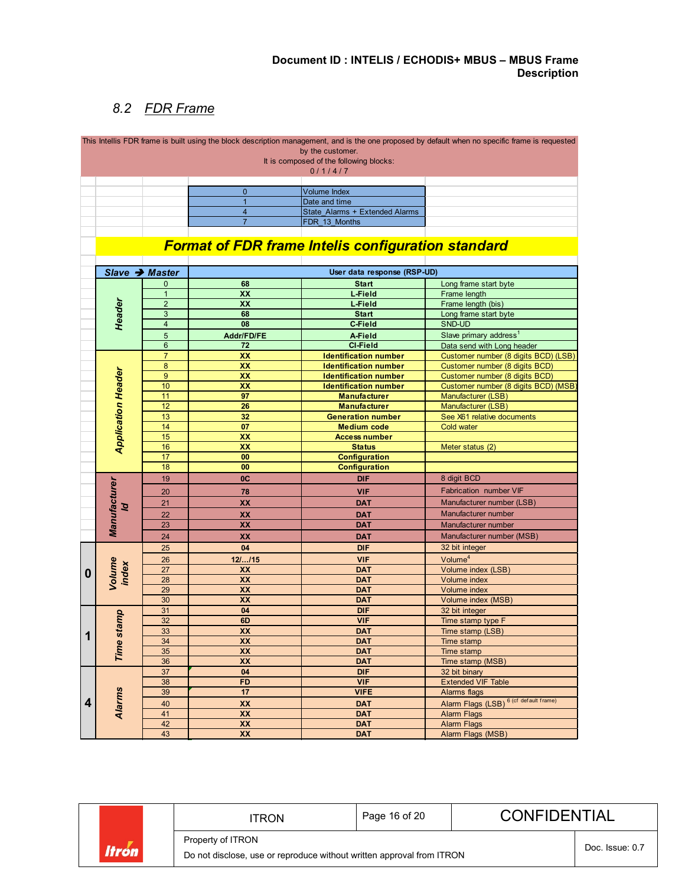### *8.2 FDR Frame*

<span id="page-15-0"></span>

|                           |                  |                         |                                                           | This Intellis FDR frame is built using the block description management, and is the one proposed by default when no specific frame is requested |
|---------------------------|------------------|-------------------------|-----------------------------------------------------------|-------------------------------------------------------------------------------------------------------------------------------------------------|
|                           |                  |                         | by the customer.                                          |                                                                                                                                                 |
|                           |                  |                         | It is composed of the following blocks:                   |                                                                                                                                                 |
|                           |                  |                         | 0/1/4/7                                                   |                                                                                                                                                 |
|                           |                  |                         |                                                           |                                                                                                                                                 |
|                           |                  | $\mathbf{0}$            | <b>Volume Index</b>                                       |                                                                                                                                                 |
|                           |                  | $\mathbf{1}$            | Date and time                                             |                                                                                                                                                 |
|                           |                  | $\overline{\mathbf{4}}$ | State Alarms + Extended Alarms                            |                                                                                                                                                 |
|                           |                  | $\overline{7}$          | FDR 13 Months                                             |                                                                                                                                                 |
|                           |                  |                         | <b>Format of FDR frame Intelis configuration standard</b> |                                                                                                                                                 |
|                           |                  |                         |                                                           |                                                                                                                                                 |
|                           | Slave → Master   |                         | User data response (RSP-UD)                               |                                                                                                                                                 |
|                           | 0                | 68                      | <b>Start</b>                                              | Long frame start byte                                                                                                                           |
|                           | $\blacklozenge$  | XX                      | L-Field                                                   | Frame length                                                                                                                                    |
|                           | $\overline{2}$   | XX                      | L-Field                                                   | Frame length (bis)                                                                                                                              |
|                           | 3                | 68                      | <b>Start</b>                                              | Long frame start byte                                                                                                                           |
| Header                    | $\overline{4}$   | 08                      | <b>C-Field</b>                                            | SND-UD                                                                                                                                          |
|                           | 5                | Addr/FD/FE              | A-Field                                                   | Slave primary address <sup>1</sup>                                                                                                              |
|                           | $6\phantom{1}$   | 72                      | <b>CI-Field</b>                                           |                                                                                                                                                 |
|                           | $\overline{7}$   | XX                      |                                                           | Data send with Long header                                                                                                                      |
|                           |                  |                         | <b>Identification number</b>                              | Customer number (8 digits BCD) (LSB)                                                                                                            |
|                           | $\bf 8$          | XX                      | <b>Identification number</b>                              | Customer number (8 digits BCD)                                                                                                                  |
| <b>Application Header</b> | $\boldsymbol{9}$ | XX                      | <b>Identification number</b>                              | Customer number (8 digits BCD)                                                                                                                  |
|                           | 10               | XX                      | <b>Identification number</b>                              | Customer number (8 digits BCD) (MSB                                                                                                             |
|                           | 11               | 97                      | <b>Manufacturer</b>                                       | Manufacturer (LSB)                                                                                                                              |
|                           | 12               | 26                      | <b>Manufacturer</b>                                       | Manufacturer (LSB)                                                                                                                              |
|                           | 13               | 32                      | <b>Generation number</b>                                  | See X61 relative documents                                                                                                                      |
|                           | 14               | 07                      | <b>Medium code</b>                                        | <b>Cold water</b>                                                                                                                               |
|                           | 15               | XX                      | <b>Access number</b>                                      |                                                                                                                                                 |
|                           | 16               | XX                      | <b>Status</b>                                             | Meter status (2)                                                                                                                                |
|                           | 17               | 00                      | <b>Configuration</b>                                      |                                                                                                                                                 |
|                           | 18               | 00                      | <b>Configuration</b>                                      |                                                                                                                                                 |
|                           | 19               | 0C                      | <b>DIF</b>                                                | 8 digit BCD                                                                                                                                     |
|                           |                  |                         |                                                           |                                                                                                                                                 |
|                           | 20               | 78                      | <b>VIF</b>                                                | Fabrication number VIF                                                                                                                          |
| $\mathcal{D}$             | 21               | XX                      | <b>DAT</b>                                                | Manufacturer number (LSB)                                                                                                                       |
|                           | 22               | XX                      | <b>DAT</b>                                                | Manufacturer number                                                                                                                             |
|                           | 23               | XX                      | <b>DAT</b>                                                | Manufacturer number                                                                                                                             |
| Manufacturer              | 24               | XX                      | <b>DAT</b>                                                | Manufacturer number (MSB)                                                                                                                       |
|                           | 25               | 04                      | <b>DIF</b>                                                | 32 bit integer                                                                                                                                  |
|                           | 26               |                         | <b>VIF</b>                                                | Volume <sup>4</sup>                                                                                                                             |
|                           |                  | $12/$ $/15$             |                                                           |                                                                                                                                                 |
| Volume<br>index           | 27               | XX                      | <b>DAT</b>                                                | Volume index (LSB)                                                                                                                              |
|                           | 28               | XX                      | <b>DAT</b>                                                | Volume index                                                                                                                                    |
|                           | 29               | XX                      | <b>DAT</b>                                                | Volume index                                                                                                                                    |
|                           | 30               | XX                      | <b>DAT</b>                                                | Volume index (MSB)                                                                                                                              |
|                           | 31               | 04                      | <b>DIF</b>                                                | 32 bit integer                                                                                                                                  |
|                           | 32               | 6D                      | <b>VIF</b>                                                | Time stamp type F                                                                                                                               |
|                           | 33               | XX                      | <b>DAT</b>                                                | Time stamp (LSB)                                                                                                                                |
|                           | 34               | XX                      | <b>DAT</b>                                                | Time stamp                                                                                                                                      |
| Time stamp                | 35               | XX                      | <b>DAT</b>                                                | Time stamp                                                                                                                                      |
|                           | 36               | XX                      | <b>DAT</b>                                                | Time stamp (MSB)                                                                                                                                |
|                           | 37               | 04                      | <b>DIF</b>                                                | 32 bit binary                                                                                                                                   |
|                           | 38               | <b>FD</b>               | <b>VIF</b>                                                | <b>Extended VIF Table</b>                                                                                                                       |
|                           |                  | 17                      | <b>VIFE</b>                                               |                                                                                                                                                 |
| <b>Alarms</b>             | 39               |                         |                                                           | Alarms flags                                                                                                                                    |
|                           | 40               | XX                      | <b>DAT</b>                                                | Alarm Flags (LSB) <sup>6 (cf default frame)</sup>                                                                                               |
|                           | 41               | XX                      | <b>DAT</b>                                                | <b>Alarm Flags</b>                                                                                                                              |
|                           | 42               | XX                      | <b>DAT</b>                                                | <b>Alarm Flags</b>                                                                                                                              |
|                           | 43               | XX                      | <b>DAT</b>                                                | Alarm Flags (MSB)                                                                                                                               |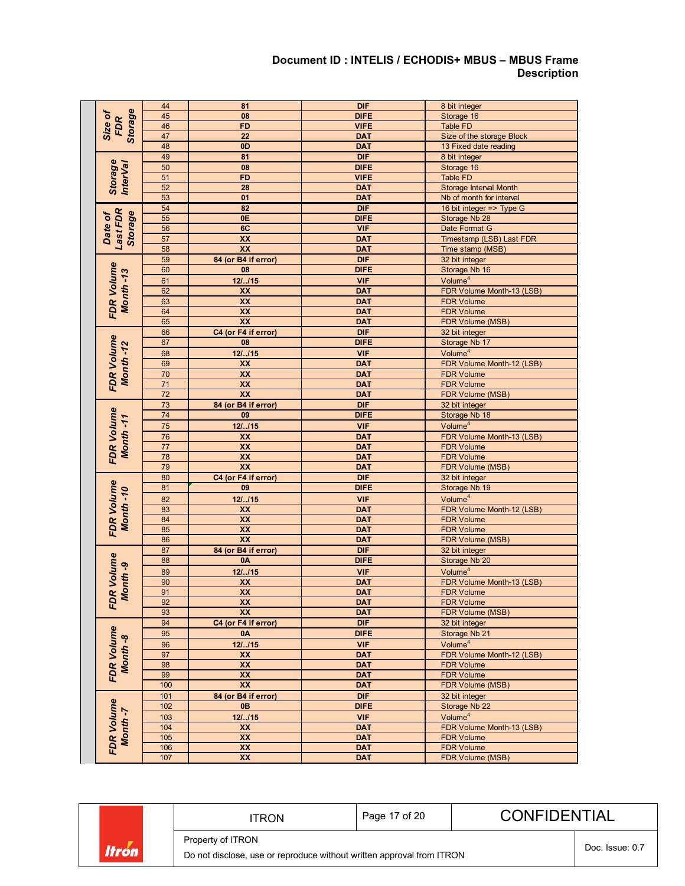#### **Document ID : INTELIS / ECHODIS+ MBUS – MBUS Frame Description**

|                                | 44              | 81                      | <b>DIF</b>  | 8 bit integer                         |  |  |
|--------------------------------|-----------------|-------------------------|-------------|---------------------------------------|--|--|
| <b>Storage</b><br>Size of      | 45              | 08                      | <b>DIFE</b> | Storage 16                            |  |  |
| <b>FDR</b>                     | 46              | <b>FD</b>               | <b>VIFE</b> | Table FD                              |  |  |
|                                | 47              | 22                      | <b>DAT</b>  | Size of the storage Block             |  |  |
|                                | 48              | 0 <sub>D</sub>          | <b>DAT</b>  | 13 Fixed date reading                 |  |  |
|                                | 49              | 81                      | <b>DIF</b>  | 8 bit integer                         |  |  |
| <b>Storage</b>                 | 50              | 08                      | <b>DIFE</b> | Storage 16                            |  |  |
| <b>InterVal</b>                | 51              | <b>FD</b>               | <b>VIFE</b> | <b>Table FD</b>                       |  |  |
|                                | 52              | 28                      | <b>DAT</b>  | Storage Interval Month                |  |  |
|                                | 53              | 01                      | <b>DAT</b>  | Nb of month for interval              |  |  |
|                                | 54              | 82                      | <b>DIF</b>  | 16 bit integer => Type G              |  |  |
|                                | 55              | 0E                      | <b>DIFE</b> | Storage Nb 28                         |  |  |
| Last FDR<br>Storage<br>Date of | 56              | 6C                      | <b>VIF</b>  | Date Format G                         |  |  |
|                                | 57              | XX                      | <b>DAT</b>  | Timestamp (LSB) Last FDR              |  |  |
|                                | 58              | XX                      | <b>DAT</b>  | Time stamp (MSB)                      |  |  |
|                                | 59              | 84 (or B4 if error)     | <b>DIF</b>  | 32 bit integer                        |  |  |
|                                | 60              | 08                      | <b>DIFE</b> | Storage Nb 16                         |  |  |
|                                | 61              | 121115                  | <b>VIF</b>  | Volume <sup>4</sup>                   |  |  |
|                                | 62              | XX                      | <b>DAT</b>  | FDR Volume Month-13 (LSB)             |  |  |
|                                | 63              | XX                      | <b>DAT</b>  | <b>FDR Volume</b>                     |  |  |
| <b>FDR Volume</b><br>Month-13  | 64              | XX                      | <b>DAT</b>  |                                       |  |  |
|                                | 65              | XX                      | <b>DAT</b>  | <b>FDR Volume</b><br>FDR Volume (MSB) |  |  |
|                                |                 | C4 (or F4 if error)     | <b>DIF</b>  | 32 bit integer                        |  |  |
|                                | 66              |                         |             |                                       |  |  |
| <b>FDR Volume</b><br>Month-12  | 67              | 08                      | <b>DIFE</b> | Storage Nb 17                         |  |  |
|                                | 68              | 121115                  | <b>VIF</b>  | Volume <sup>4</sup>                   |  |  |
|                                | 69              | XX                      | <b>DAT</b>  | FDR Volume Month-12 (LSB)             |  |  |
|                                | 70              | XX                      | <b>DAT</b>  | <b>FDR Volume</b>                     |  |  |
|                                | $\overline{71}$ | $\overline{\mathbf{X}}$ | <b>DAT</b>  | <b>FDR Volume</b>                     |  |  |
|                                | $\overline{72}$ | $\overline{XX}$         | <b>DAT</b>  | FDR Volume (MSB)                      |  |  |
|                                | 73              | 84 (or B4 if error)     | <b>DIF</b>  | 32 bit integer                        |  |  |
|                                | 74              | 09                      | <b>DIFE</b> | Storage Nb 18                         |  |  |
|                                | 75              | 121.115                 | <b>VIF</b>  | Volume <sup>4</sup>                   |  |  |
| <b>FDR Volume</b><br>Month-11  | 76              | XX                      | <b>DAT</b>  | FDR Volume Month-13 (LSB)             |  |  |
|                                | 77              | XX                      | <b>DAT</b>  | <b>FDR Volume</b>                     |  |  |
|                                | 78              | XX                      | <b>DAT</b>  | <b>FDR Volume</b>                     |  |  |
|                                | 79              | XX                      | <b>DAT</b>  | FDR Volume (MSB)                      |  |  |
|                                | 80              | C4 (or F4 if error)     | <b>DIF</b>  | 32 bit integer                        |  |  |
| <b>FDR Volume</b>              | 81              | 09                      | <b>DIFE</b> | Storage Nb 19                         |  |  |
| Month-10                       | 82              | 12/.115                 | <b>VIF</b>  | Volume <sup>4</sup>                   |  |  |
|                                | 83              | XX                      | <b>DAT</b>  | FDR Volume Month-12 (LSB)             |  |  |
|                                | 84              | $\overline{XX}$         | <b>DAT</b>  | <b>FDR Volume</b>                     |  |  |
|                                | 85              | XX                      | <b>DAT</b>  | <b>FDR Volume</b>                     |  |  |
|                                | 86              | $\overline{\mathbf{X}}$ | <b>DAT</b>  | <b>FDR Volume (MSB)</b>               |  |  |
|                                | 87              | 84 (or B4 if error)     | <b>DIF</b>  | 32 bit integer                        |  |  |
|                                | 88              | 0A                      | <b>DIFE</b> | Storage Nb 20                         |  |  |
|                                | 89              | 12/.115                 | <b>VIF</b>  | Volume <sup>4</sup>                   |  |  |
| FDR Volume<br>Month-9          | 90              | <b>XX</b>               | <b>DAT</b>  | FDR Volume Month-13 (LSB)             |  |  |
|                                | 91              | $\overline{\mathbf{X}}$ | <b>DAT</b>  | <b>FDR Volume</b>                     |  |  |
|                                | 92              | $\overline{XX}$         | <b>DAT</b>  | <b>FDR Volume</b>                     |  |  |
|                                | 93              | XX                      | <b>DAT</b>  | FDR Volume (MSB)                      |  |  |
|                                | 94              | C4 (or F4 if error)     | <b>DIF</b>  | 32 bit integer                        |  |  |
| <b>FDR Volume</b>              | 95              | 0A                      | <b>DIFE</b> | Storage Nb 21                         |  |  |
|                                | 96              | 12/.115                 | <b>VIF</b>  | Volume <sup>4</sup>                   |  |  |
|                                | 97              | XX                      | <b>DAT</b>  | FDR Volume Month-12 (LSB)             |  |  |
| Month-8                        | 98              | XX                      | <b>DAT</b>  | <b>FDR Volume</b>                     |  |  |
|                                | 99              | XX                      | <b>DAT</b>  | <b>FDR Volume</b>                     |  |  |
|                                | 100             | XX                      | <b>DAT</b>  | FDR Volume (MSB)                      |  |  |
|                                | 101             | 84 (or B4 if error)     | <b>DIF</b>  | 32 bit integer                        |  |  |
|                                | 102             | 0B                      | <b>DIFE</b> | Storage Nb 22                         |  |  |
|                                | 103             | 121.115                 | <b>VIF</b>  | Volume <sup>4</sup>                   |  |  |
| <b>FDR Volume</b><br>Month-7   | 104             | XX                      | <b>DAT</b>  | FDR Volume Month-13 (LSB)             |  |  |
|                                | 105             | XX                      | <b>DAT</b>  | <b>FDR Volume</b>                     |  |  |
|                                | 106             | XX                      | <b>DAT</b>  | <b>FDR Volume</b>                     |  |  |
|                                | 107             | XX                      | <b>DAT</b>  | FDR Volume (MSB)                      |  |  |
|                                |                 |                         |             |                                       |  |  |

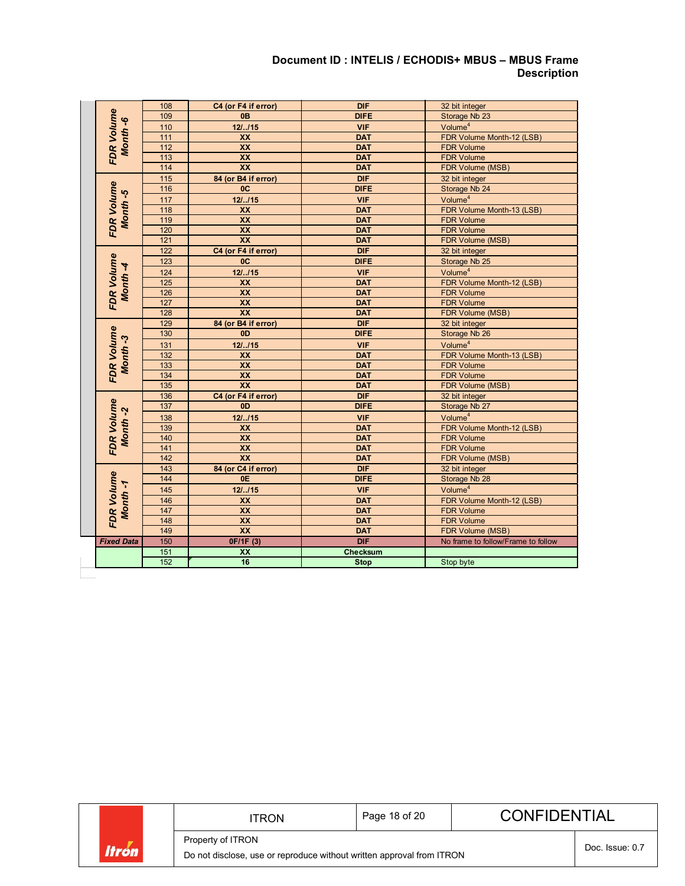### **Document ID : INTELIS / ECHODIS+ MBUS – MBUS Frame Description**

|                   | <b>FDR Volume</b><br>Month-6 | 108              | C4 (or F4 if error)   | <b>DIF</b>                        | 32 bit integer                     |  |
|-------------------|------------------------------|------------------|-----------------------|-----------------------------------|------------------------------------|--|
|                   |                              | 109              | 0 <sub>B</sub>        | <b>DIFE</b>                       | Storage Nb 23                      |  |
|                   |                              | 110              | 121.115               | <b>VIF</b>                        | Volume <sup>4</sup>                |  |
|                   |                              | 111              | XX                    | <b>DAT</b>                        | FDR Volume Month-12 (LSB)          |  |
|                   |                              | 112              | <b>XX</b>             | <b>DAT</b>                        | <b>FDR Volume</b>                  |  |
|                   |                              | 113              | <b>XX</b>             | <b>DAT</b>                        | <b>FDR Volume</b>                  |  |
|                   |                              | 114              | <b>XX</b>             | <b>DAT</b>                        | FDR Volume (MSB)                   |  |
|                   | <b>FDR Volume</b><br>Month-5 | 115              | 84 (or B4 if error)   | <b>DIF</b>                        | 32 bit integer                     |  |
|                   |                              | 116              | 0C                    | <b>DIFE</b>                       | Storage Nb 24                      |  |
|                   |                              | 117              | 121115                | <b>VIF</b>                        | Volume <sup>4</sup>                |  |
|                   |                              | 118              | <b>XX</b>             | <b>DAT</b>                        | FDR Volume Month-13 (LSB)          |  |
|                   |                              | 119              | XX                    | <b>DAT</b>                        | <b>FDR Volume</b>                  |  |
|                   |                              | 120              | <b>XX</b>             | <b>DAT</b>                        | <b>FDR Volume</b>                  |  |
|                   |                              | $121$            | <b>XX</b>             | <b>DAT</b>                        | FDR Volume (MSB)                   |  |
|                   | <b>FDR Volume</b><br>Month-4 | 122              | C4 (or F4 if error)   | <b>DIF</b>                        | 32 bit integer                     |  |
|                   |                              | 123              | 0 <sup>C</sup>        | <b>DIFE</b>                       | Storage Nb 25                      |  |
|                   |                              | 124              | 121115                | <b>VIF</b>                        | Volume <sup>4</sup>                |  |
|                   |                              | 125              | XX                    | <b>DAT</b>                        | FDR Volume Month-12 (LSB)          |  |
|                   |                              | 126              | $\overline{XX}$       | <b>DAT</b>                        | <b>FDR Volume</b>                  |  |
|                   |                              | 127              | <b>XX</b>             | <b>DAT</b>                        | <b>FDR Volume</b>                  |  |
|                   |                              | 128              | $\overline{XX}$       | <b>DAT</b>                        | FDR Volume (MSB)                   |  |
|                   |                              | 129              | 84 (or B4 if error)   | <b>DIF</b>                        | 32 bit integer                     |  |
|                   |                              | 130              | 0 <sub>D</sub>        | <b>DIFE</b>                       | Storage Nb 26                      |  |
|                   | <b>FDR Volume</b><br>Month-3 | 131              | 12/.115               | Volume <sup>4</sup><br><b>VIF</b> |                                    |  |
|                   |                              | 132              | <b>XX</b>             | <b>DAT</b>                        | FDR Volume Month-13 (LSB)          |  |
|                   |                              | 133              | XX                    | <b>DAT</b>                        | <b>FDR Volume</b>                  |  |
|                   |                              | 134              | $\overline{XX}$       | <b>DAT</b>                        | <b>FDR Volume</b>                  |  |
|                   |                              | $\overline{135}$ | XX                    | <b>DAT</b>                        | FDR Volume (MSB)                   |  |
|                   |                              | 136              | C4 (or F4 if error)   | <b>DIF</b>                        | 32 bit integer                     |  |
| <b>FDR Volume</b> |                              | 137              | 0 <sub>D</sub>        | <b>DIFE</b>                       | Storage Nb 27                      |  |
|                   |                              | 138              | 121.115<br><b>VIF</b> |                                   | Volume <sup>4</sup>                |  |
|                   | Month-2                      | 139              | <b>XX</b>             | <b>DAT</b>                        | FDR Volume Month-12 (LSB)          |  |
|                   |                              | 140              | <b>XX</b>             | <b>DAT</b>                        | <b>FDR Volume</b>                  |  |
|                   |                              | 141              | <b>XX</b>             | <b>DAT</b>                        | <b>FDR Volume</b>                  |  |
|                   |                              | 142              | <b>XX</b>             | <b>DAT</b>                        | <b>FDR Volume (MSB)</b>            |  |
|                   |                              | 143              | 84 (or C4 if error)   | <b>DIF</b>                        | 32 bit integer                     |  |
|                   | <b>FDR Volume</b><br>Month-1 | 144              | 0E                    | <b>DIFE</b>                       | Storage Nb 28                      |  |
|                   |                              | 145              | 121.115               | <b>VIF</b>                        | Volume <sup>4</sup>                |  |
|                   |                              | 146              | <b>XX</b>             | <b>DAT</b>                        | FDR Volume Month-12 (LSB)          |  |
|                   |                              | 147              | <b>XX</b>             | <b>DAT</b>                        | <b>FDR Volume</b>                  |  |
|                   |                              | 148              | <b>XX</b>             |                                   | <b>DAT</b><br><b>FDR Volume</b>    |  |
|                   | 149                          |                  | <b>XX</b>             | <b>DAT</b>                        | FDR Volume (MSB)                   |  |
|                   | <b>Fixed Data</b>            | 150              | 0F/1F (3)             | <b>DIF</b>                        | No frame to follow/Frame to follow |  |
|                   |                              | 151              | XX                    | <b>Checksum</b>                   |                                    |  |
|                   |                              | 152              | 16                    | <b>Stop</b>                       | Stop byte                          |  |

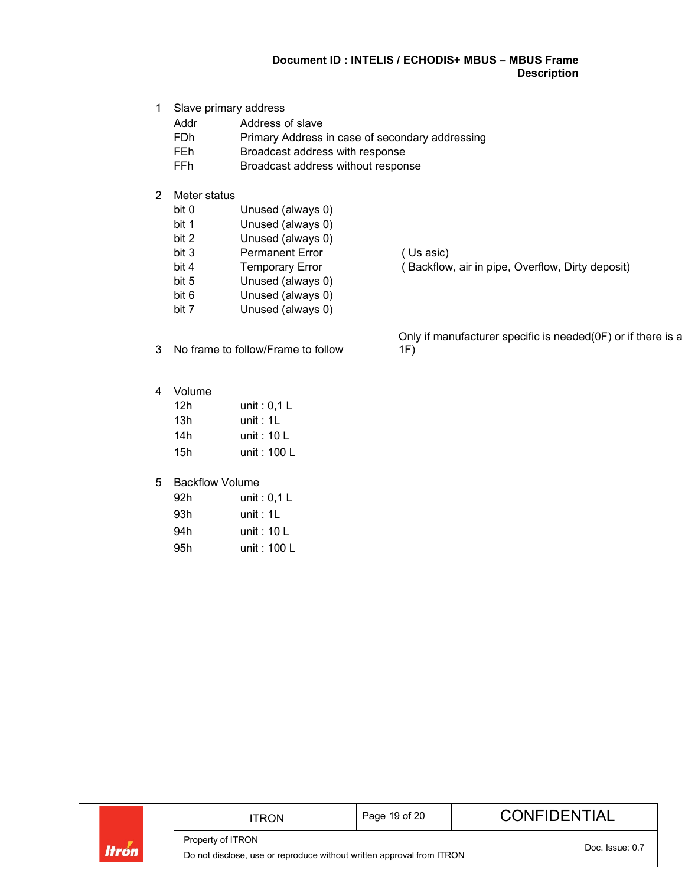### **Document ID : INTELIS / ECHODIS+ MBUS – MBUS Frame Description**

- 1 Slave primary address
	- Addr Address of slave<br>
	FDh Primary Address
	- FDh Primary Address in case of secondary addressing<br>FEh Broadcast address with response
	- Broadcast address with response
	- FFh Broadcast address without response
- 2 Meter status
	- Unused (always 0)
	- bit 1 Unused (always 0)<br>bit 2 Unused (always 0)
	- Unused (always 0)
	- bit 3 Permanent Error (Us asic)
	-
	- bit 5 Unused (always 0)
	- bit 6 Unused (always 0)
	- bit 7 Unused (always 0)
- 3 No frame to follow/Frame to follow

bit 4 Temporary Error (Backflow, air in pipe, Overflow, Dirty deposit)

Only if manufacturer specific is needed(0F) or if there is a 1F)

4 Volume

| 12h | unit: $0,1$ L |
|-----|---------------|
| 13h | unit: $1L$    |
| 14h | unit: $10 L$  |
| 15h | unit : 100 L  |

#### 5 Backflow Volume

| 92h | unit : 0,1 L |
|-----|--------------|
| 93h | unit: $1L$   |
| 94h | unit : 10 L  |
| 95h | unit : 100 L |

ITRON | Page 19 of 20 | CONFIDENTIAL Property of ITRON Doc. Issue: 0.7 **Itrón** Do not disclose, use or reproduce without written approval from ITRON